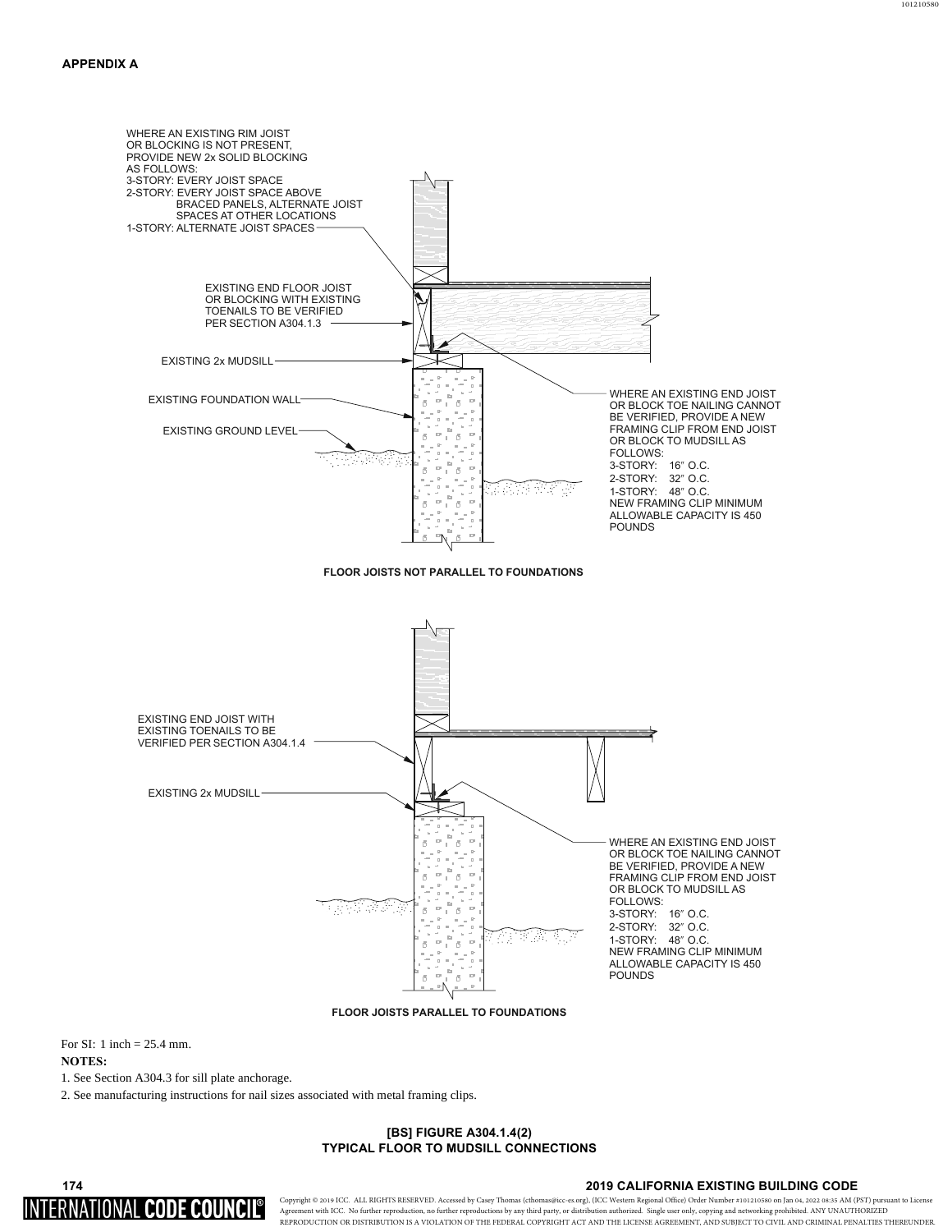

**FLOOR JOISTS PARALLEL TO FOUNDATIONS**

For SI: 1 inch = 25.4 mm. **NOTES:** 

1. See Section A304.3 for sill plate anchorage.

2. See manufacturing instructions for nail sizes associated with metal framing clips.

#### **[BS] FIGURE A304.1.4(2) TYPICAL FLOOR TO MUDSILL CONNECTIONS**

# 174 INTERNATIONAL CODE COUNCI

#### **2019 CALIFORNIA EXISTING BUILDING CODE**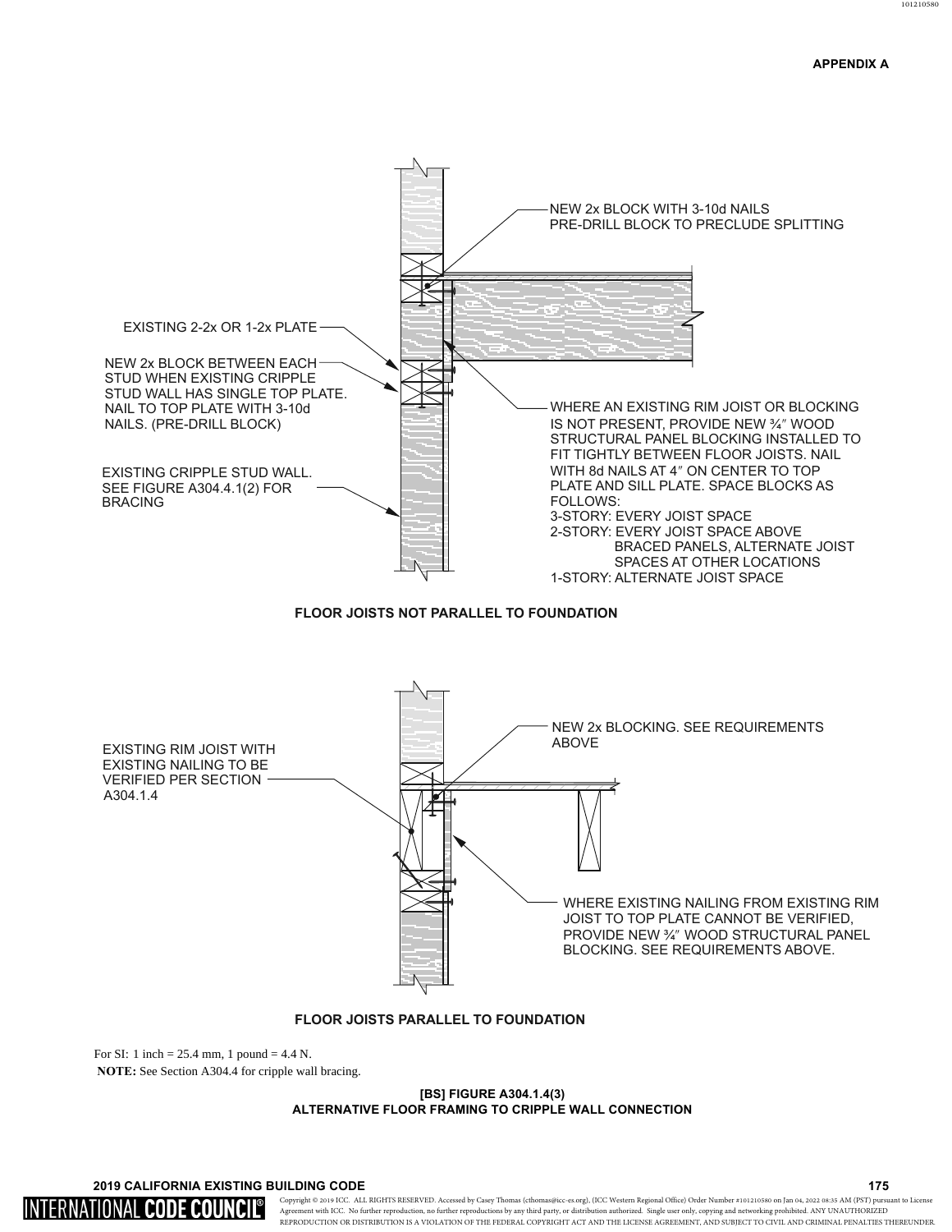# **APPENDIX A**



For SI: 1 inch =  $25.4$  mm, 1 pound =  $4.4$  N. **NOTE:** See Section A304.4 for cripple wall bracing.

### **[BS] FIGURE A304.1.4(3) ALTERNATIVE FLOOR FRAMING TO CRIPPLE WALL CONNECTION**

**A 2019 CALIFORNIA EXISTING BUILDING CODE A 2019 CALIFORNIA EXISTING BUILDING CODE** 

INTERNATIONAL CODE COUNCIL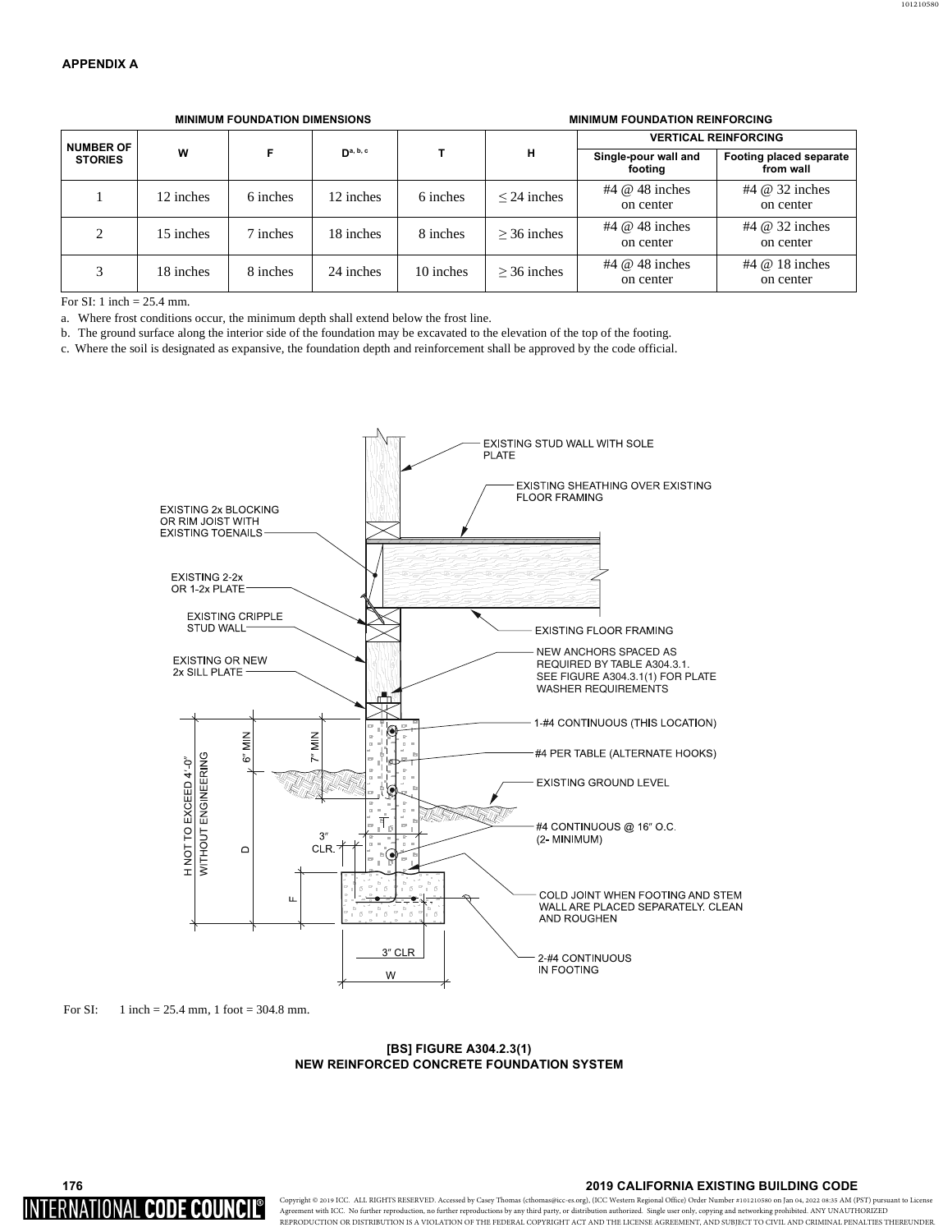| <b>NUMBER OF</b><br><b>STORIES</b> | W         |          | $\mathsf{D}^{a, b, c}$ |           | н                | <b>VERTICAL REINFORCING</b>     |                                       |
|------------------------------------|-----------|----------|------------------------|-----------|------------------|---------------------------------|---------------------------------------|
|                                    |           |          |                        |           |                  | Single-pour wall and<br>footing | Footing placed separate<br>from wall  |
|                                    | 12 inches | 6 inches | 12 inches              | 6 inches  | $\leq$ 24 inches | #4 $@$ 48 inches<br>on center   | $#4 \; \omega$ 32 inches<br>on center |
| 2                                  | 15 inches | 7 inches | 18 inches              | 8 inches  | $>$ 36 inches    | #4 $@$ 48 inches<br>on center   | $#4 \; \omega$ 32 inches<br>on center |
| 3                                  | 18 inches | 8 inches | 24 inches              | 10 inches | $>$ 36 inches    | #4 $@$ 48 inches<br>on center   | $#4 \ @$ 18 inches<br>on center       |

**0,1,080)281'\$7,21',0(16,216 0,1,080)281'\$7,215(,1)25&,1\***

a. Where frost conditions occur, the minimum depth shall extend below the frost line.

b. The ground surface along the interior side of the foundation may be excavated to the elevation of the top of the footing.

c. Where the soil is designated as expansive, the foundation depth and reinforcement shall be approved by the code official.



For SI: 1 inch = 25.4 mm, 1 foot = 304.8 mm.

**[BS] FIGURE A304.2.3(1) NEW REINFORCED CONCRETE FOUNDATION SYSTEM** 

# 176 INTERNATIONAL CODE COUN

#### **2019 CALIFORNIA EXISTING BUILDING CODE**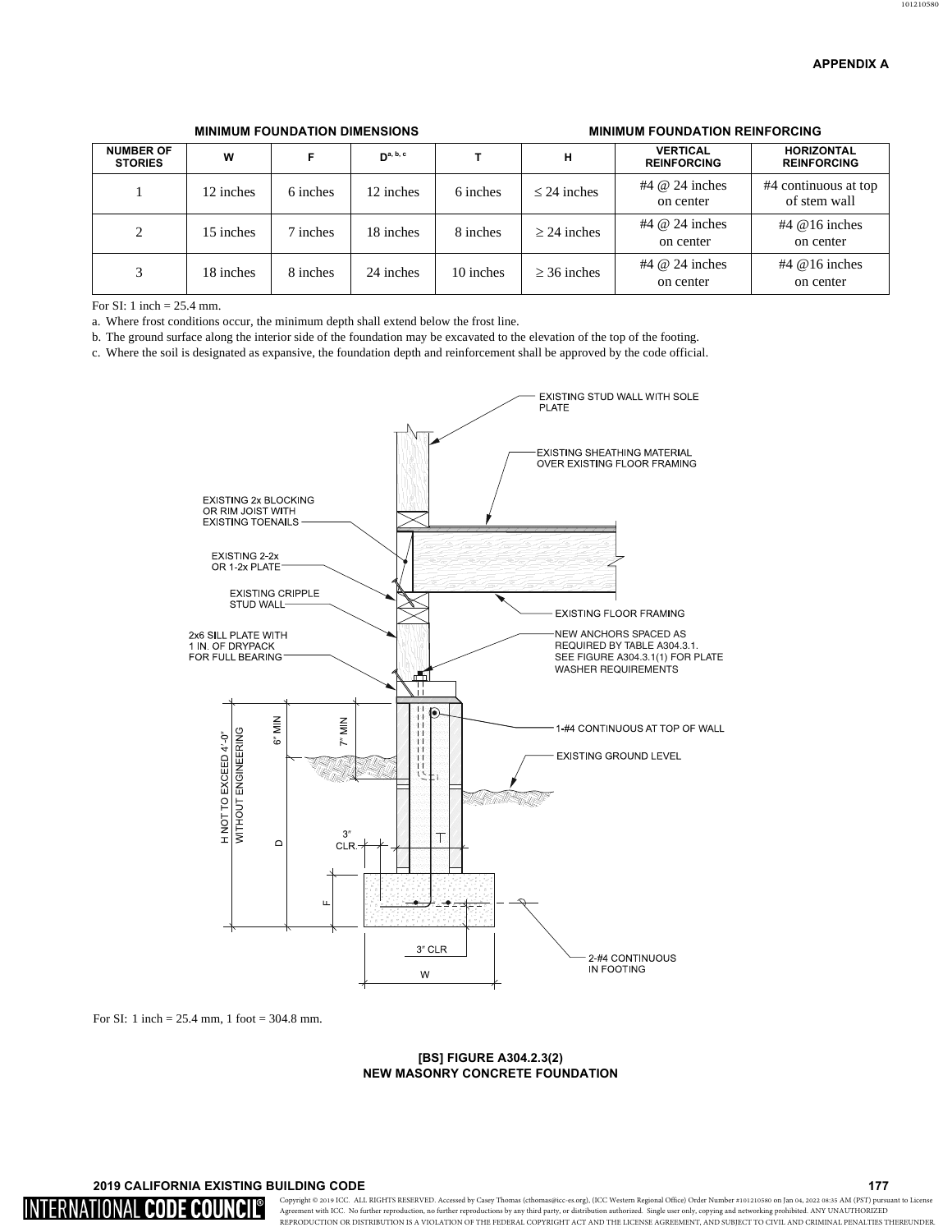| <b>NUMBER OF</b><br><b>STORIES</b> | W         |          | $\mathbf{D}^{\mathbf{a},\mathbf{b},\mathbf{c}}$ |           | н                | <b>VERTICAL</b><br><b>REINFORCING</b> | <b>HORIZONTAL</b><br><b>REINFORCING</b> |
|------------------------------------|-----------|----------|-------------------------------------------------|-----------|------------------|---------------------------------------|-----------------------------------------|
|                                    | 12 inches | 6 inches | 12 inches                                       | 6 inches  | $\leq$ 24 inches | #4 $@$ 24 inches<br>on center         | #4 continuous at top<br>of stem wall    |
| 2                                  | 15 inches | 7 inches | 18 inches                                       | 8 inches  | $\geq$ 24 inches | #4 $@$ 24 inches<br>on center         | $#4$ @ 16 inches<br>on center           |
| 3                                  | 18 inches | 8 inches | 24 inches                                       | 10 inches | $\geq$ 36 inches | #4 $@$ 24 inches<br>on center         | $#4$ @ 16 inches<br>on center           |

# **0,100) MINIMUM FOUNDATION DIMENSIONS AND RELATION REINFORCING**

For SI: 1 inch  $= 25.4$  mm.

a. Where frost conditions occur, the minimum depth shall extend below the frost line.

b. The ground surface along the interior side of the foundation may be excavated to the elevation of the top of the footing.

c. Where the soil is designated as expansive, the foundation depth and reinforcement shall be approved by the code official.



For SI: 1 inch = 25.4 mm, 1 foot = 304.8 mm.

## **[BS] FIGURE A304.2.3(2) NEW MASONRY CONCRETE FOUNDATION**

# **A 2019 CALIFORNIA EXISTING BUILDING CODE A 2019 CALIFORNIA EXISTING BUILDING CODE**

INTERNATIONAL **CODE COUNCIL**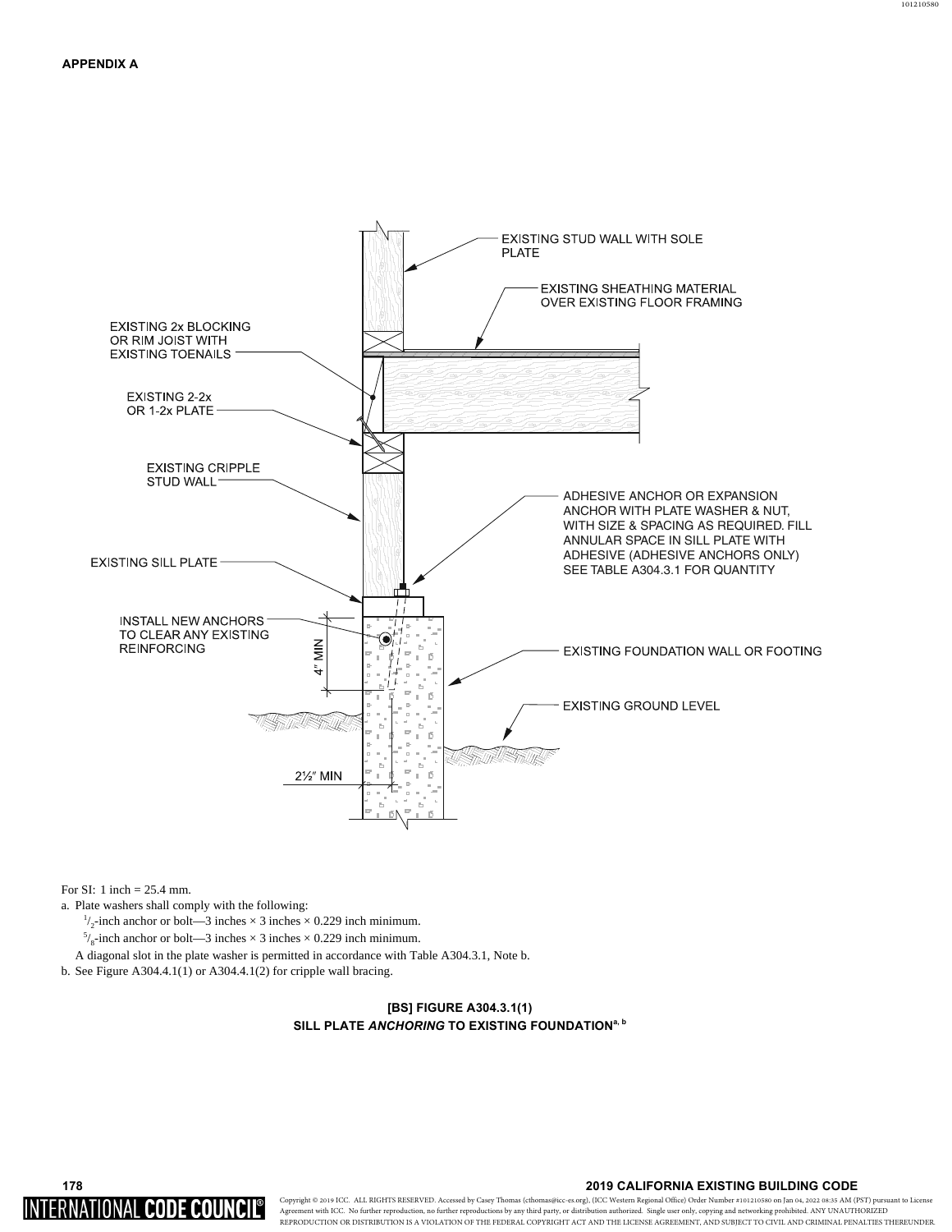# EXISTING STUD WALL WITH SOLE **PLATE** EXISTING SHEATHING MATERIAL OVER EXISTING FLOOR FRAMING **EXISTING 2x BLOCKING** OR RIM JOIST WITH **EXISTING TOENAILS** EXISTING 2-2x OR 1-2x PLATE **EXISTING CRIPPLE** STUD WALL<sup>-</sup> ADHESIVE ANCHOR OR EXPANSION ANCHOR WITH PLATE WASHER & NUT. WITH SIZE & SPACING AS REQUIRED. FILL ANNULAR SPACE IN SILL PLATE WITH ADHESIVE (ADHESIVE ANCHORS ONLY) **EXISTING SILL PLATE** SEE TABLE A304.3.1 FOR QUANTITY **INSTALL NEW ANCHORS** TO CLEAR ANY EXISTING Î  $\frac{Z}{Z}$ **REINFORCING** EXISTING FOUNDATION WALL OR FOOTING  $\ddot{\mathbf{4}}$  $\overline{5}$ **EXISTING GROUND LEVEL** ß 21/2" MIN 币

For SI: 1 inch = 25.4 mm.

INTERNATIONAL CODE COUNCIL

a. Plate washers shall comply with the following:

 $\frac{1}{2}$ -inch anchor or bolt—3 inches × 3 inches × 0.229 inch minimum.

 $^{5}/_8$ -inch anchor or bolt—3 inches  $\times$  3 inches  $\times$  0.229 inch minimum.

A diagonal slot in the plate washer is permitted in accordance with Table A304.3.1, Note b.

b. See Figure A304.4.1(1) or A304.4.1(2) for cripple wall bracing.

# **[BS] FIGURE A304.3.1(1) SILL PLATE ANCHORING TO EXISTING FOUNDATION<sup>a, b</sup>**

## **2019 CALIFORNIA EXISTING BUILDING CODE**

Copyright © 2019 ICC. ALL RIGHTS RESERVED. Accessed by Howard Cook (Howard@bayarearetrofit.com) Order Number #101210580 on Jan 04, 2022 08:35 AM (PST) pursuant to License Agreement with ICC. No further reproduction, no further reproductions by any third party, or distribution authorized. Single user only, copying and networking prohibited. ANY UNAUTHORIZED REPRODUCTION OR DISTRIBUTION IS A VIOLATION OF THE FEDERAL COPYRIGHT ACT AND THE LICENSE AGREEMENT, AND SUBJECT TO CIVIL AND CRIMINAL PENALTIES THEREUNDER.

178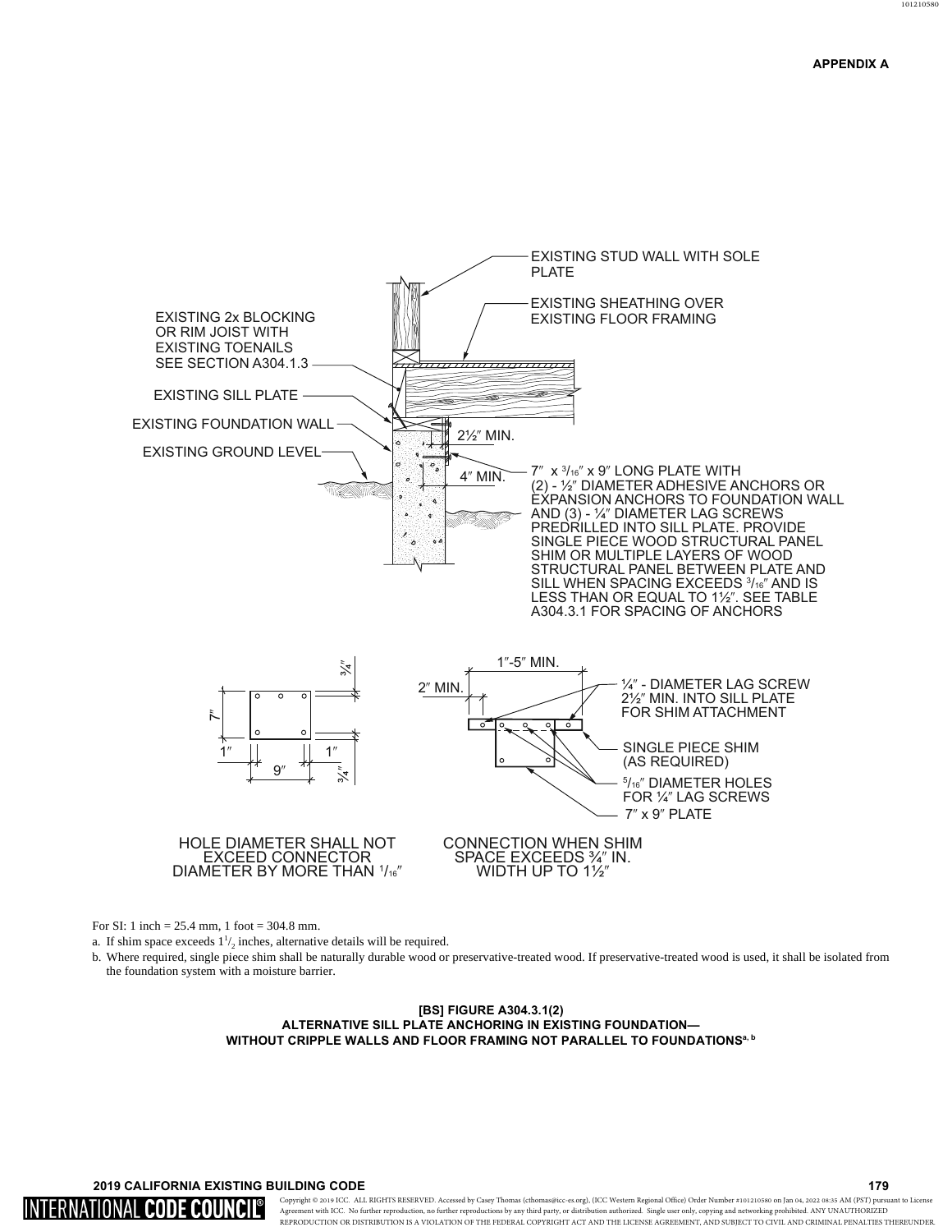

For SI: 1 inch = 25.4 mm, 1 foot = 304.8 mm.

a. If shim space exceeds  $1\frac{1}{2}$  inches, alternative details will be required.

b. Where required, single piece shim shall be naturally durable wood or preservative-treated wood. If preservative-treated wood is used, it shall be isolated from the foundation system with a moisture barrier.

#### **[BS] FIGURE A304.3.1(2) ALTERNATIVE SILL PLATE ANCHORING IN EXISTING FOUNDATION-WITHOUT CRIPPLE WALLS AND FLOOR FRAMING NOT PARALLEL TO FOUNDATIONS<sup>a, b</sup>**

# **A 2019 CALIFORNIA EXISTING BUILDING CODE A 2019 CALIFORNIA EXISTING BUILDING CODE**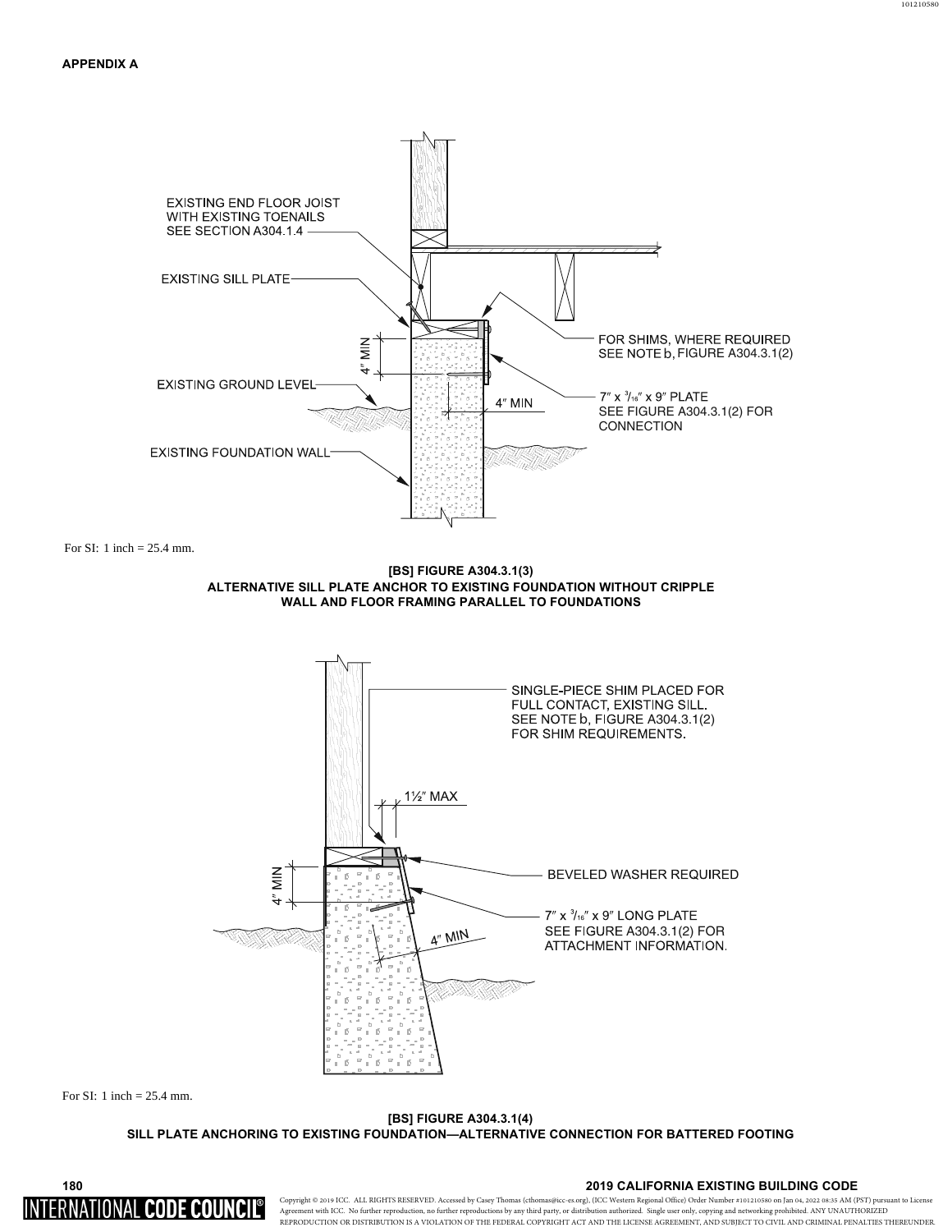



**[BS] FIGURE A304.3.1(4) SILL PLATE ANCHORING TO EXISTING FOUNDATION—ALTERNATIVE CONNECTION FOR BATTERED FOOTING** 

**2019 CALIFORNIA EXISTING BUILDING CODE** 

180 INTERNATIONAL CODE COUNCI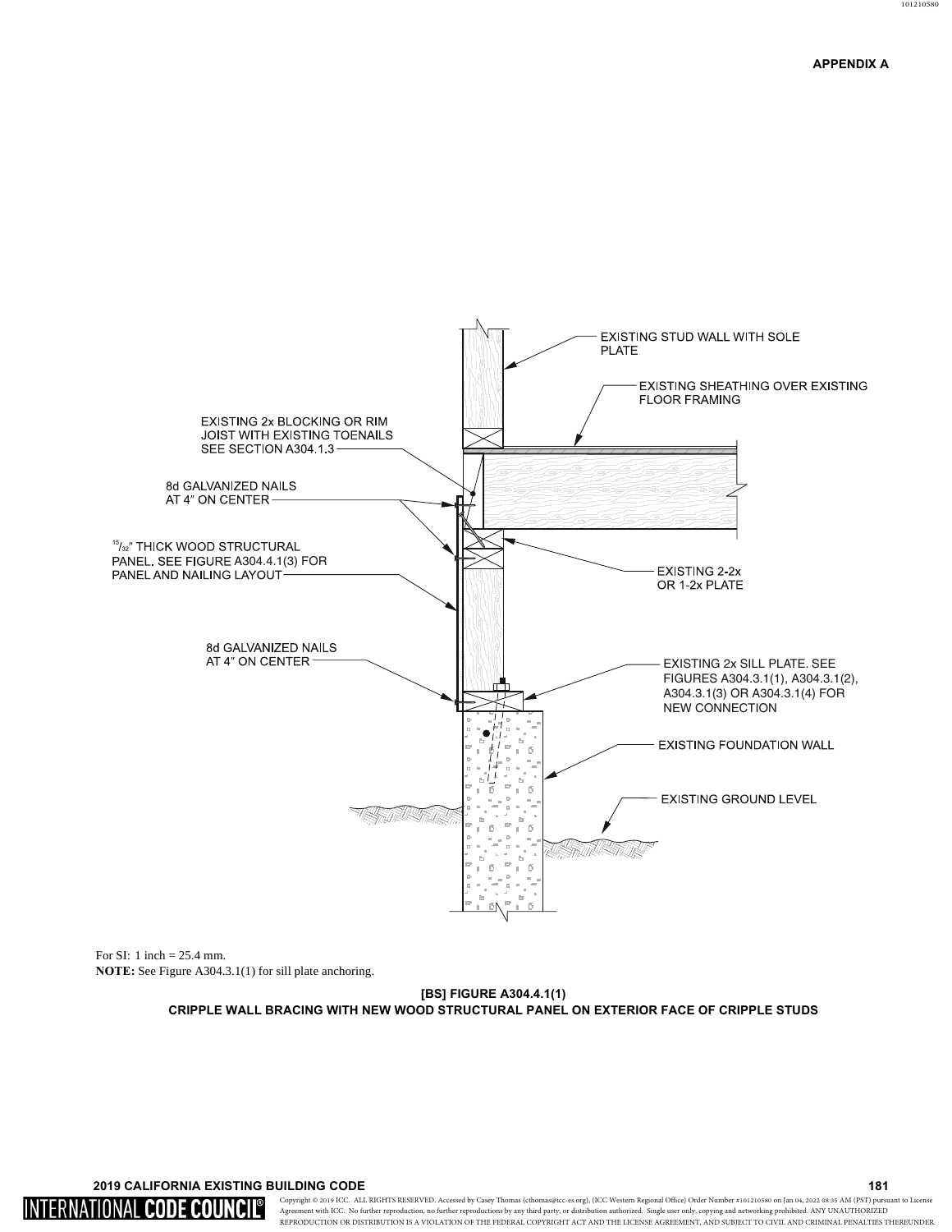# **APPENDIX A**



For SI: 1 inch = 25.4 mm. **NOTE: See Figure A304.3.1(1) for sill plate anchoring.** 

> **[BS] FIGURE A304.4.1(1) CRIPPLE WALL BRACING WITH NEW WOOD STRUCTURAL PANEL ON EXTERIOR FACE OF CRIPPLE STUDS**

**Assume that the CONSTRUCTER SET ASSESSED ASSESSED ASSESSED ASSESSED ASSESSED ASSESSED ASSESSED ASSESSED AND LOCAL LIBRARY OF A LIBRARY CODE** 

INTERNATIONAL CODE COUNCIL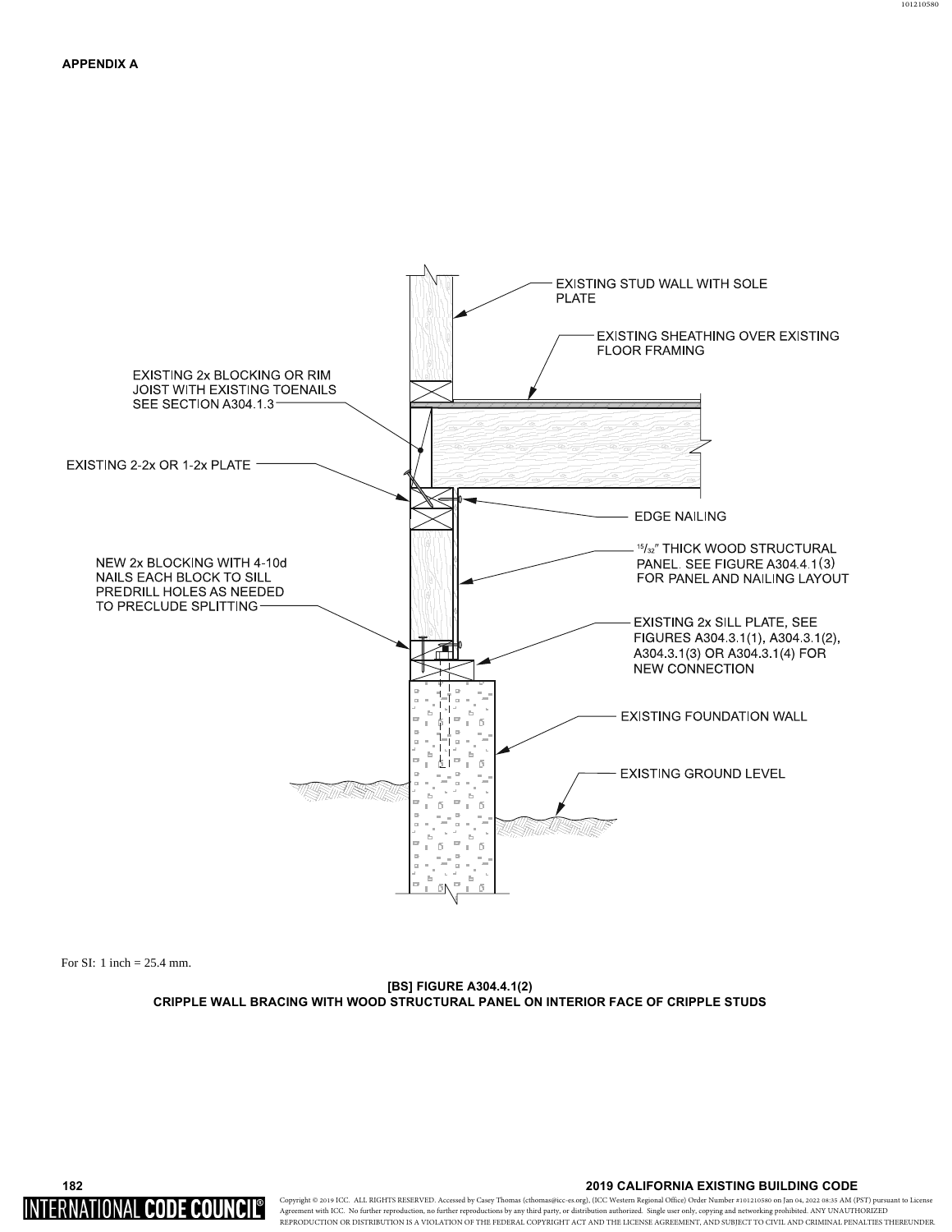

**[BS] FIGURE A304.4.1(2) CRIPPLE WALL BRACING WITH WOOD STRUCTURAL PANEL ON INTERIOR FACE OF CRIPPLE STUDS** 



**2019 CALIFORNIA EXISTING BUILDING CODE**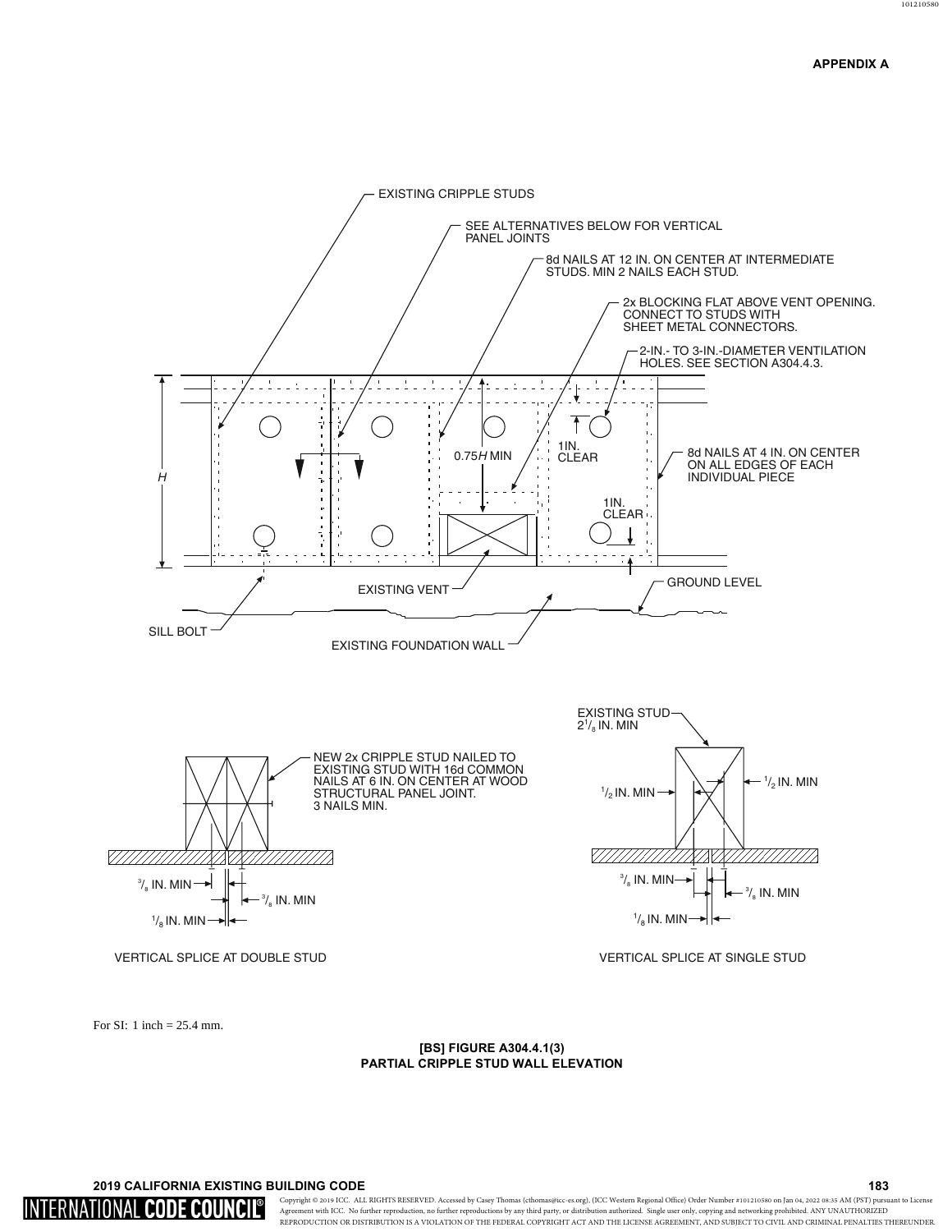

#### [BS] FIGURE A304.4.1(3) PARTIAL CRIPPLE STUD WALL ELEVATION

## 2019 CALIFORNIA EXISTING BUILDING CODE

INTERNATIONAL **CODE COUNC** 

Copyright @ 2019 ICC. ALL RIGHTS RESERVED. Accessed by Howard Cook (Howard@bayarearetrofit.com) Order Number #101210580 on Jan 04, 2022 08:35 AM (PST) pursuant to License Agreement with ICC. No further reproduction, no further reproductions by any third party, or distribution authorized. Single user only, copying and networking prohibited. ANY UNAUTHORIZED REPRODUCTION OR DISTRIBUTION IS A VIOLATION OF THE FEDERAL COPYRIGHT ACT AND THE LICENSE AGREEMENT, AND SUBJECT TO CIVIL AND CRIMINAL PENALTIES THEREUNDER.

183